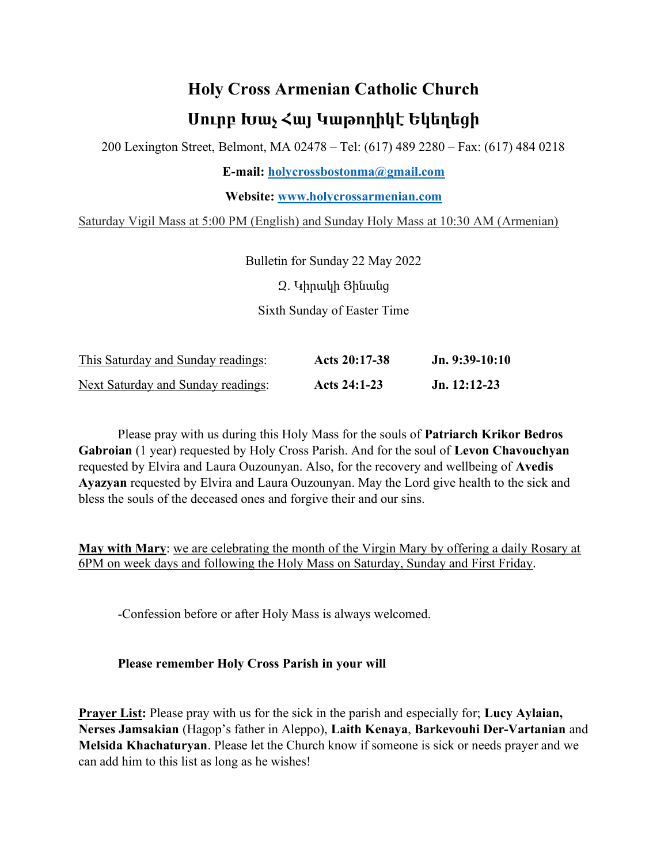## Holy Cross Armenian Catholic Church Սուրբ Խաչ Հայ Կաթողիկէ Եկեղեցի

200 Lexington Street, Belmont, MA 02478 – Tel: (617) 489 2280 – Fax: (617) 484 0218

E-mail: holycrossbostonma@gmail.com

Website: www.holycrossarmenian.com

Saturday Vigil Mass at 5:00 PM (English) and Sunday Holy Mass at 10:30 AM (Armenian)

Bulletin for Sunday 22 May 2022

Զ. Կիրակի Յինանց

Sixth Sunday of Easter Time

| This Saturday and Sunday readings: | Acts 20:17-38 | $Jn. 9:39-10:10$ |
|------------------------------------|---------------|------------------|
| Next Saturday and Sunday readings: | Acts 24:1-23  | $Jn. 12:12-23$   |

 Please pray with us during this Holy Mass for the souls of Patriarch Krikor Bedros Gabroian (1 year) requested by Holy Cross Parish. And for the soul of Levon Chavouchyan requested by Elvira and Laura Ouzounyan. Also, for the recovery and wellbeing of Avedis Ayazyan requested by Elvira and Laura Ouzounyan. May the Lord give health to the sick and bless the souls of the deceased ones and forgive their and our sins.

May with Mary: we are celebrating the month of the Virgin Mary by offering a daily Rosary at 6PM on week days and following the Holy Mass on Saturday, Sunday and First Friday.

-Confession before or after Holy Mass is always welcomed.

## Please remember Holy Cross Parish in your will

**Prayer List:** Please pray with us for the sick in the parish and especially for; Lucy Aylaian, Nerses Jamsakian (Hagop's father in Aleppo), Laith Kenaya, Barkevouhi Der-Vartanian and Melsida Khachaturyan. Please let the Church know if someone is sick or needs prayer and we can add him to this list as long as he wishes!